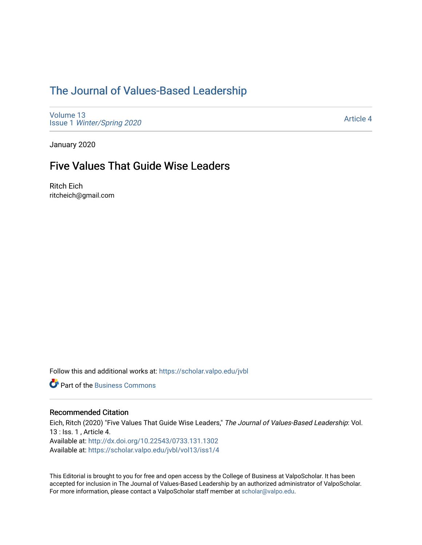## [The Journal of Values-Based Leadership](https://scholar.valpo.edu/jvbl)

[Volume 13](https://scholar.valpo.edu/jvbl/vol13) Issue 1 [Winter/Spring 2020](https://scholar.valpo.edu/jvbl/vol13/iss1) 

[Article 4](https://scholar.valpo.edu/jvbl/vol13/iss1/4) 

January 2020

### Five Values That Guide Wise Leaders

Ritch Eich ritcheich@gmail.com

Follow this and additional works at: [https://scholar.valpo.edu/jvbl](https://scholar.valpo.edu/jvbl?utm_source=scholar.valpo.edu%2Fjvbl%2Fvol13%2Fiss1%2F4&utm_medium=PDF&utm_campaign=PDFCoverPages) 

**Part of the [Business Commons](http://network.bepress.com/hgg/discipline/622?utm_source=scholar.valpo.edu%2Fjvbl%2Fvol13%2Fiss1%2F4&utm_medium=PDF&utm_campaign=PDFCoverPages)** 

#### Recommended Citation

Eich, Ritch (2020) "Five Values That Guide Wise Leaders," The Journal of Values-Based Leadership: Vol. 13 : Iss. 1 , Article 4. Available at:<http://dx.doi.org/10.22543/0733.131.1302> Available at: [https://scholar.valpo.edu/jvbl/vol13/iss1/4](https://scholar.valpo.edu/jvbl/vol13/iss1/4?utm_source=scholar.valpo.edu%2Fjvbl%2Fvol13%2Fiss1%2F4&utm_medium=PDF&utm_campaign=PDFCoverPages)

This Editorial is brought to you for free and open access by the College of Business at ValpoScholar. It has been accepted for inclusion in The Journal of Values-Based Leadership by an authorized administrator of ValpoScholar. For more information, please contact a ValpoScholar staff member at [scholar@valpo.edu](mailto:scholar@valpo.edu).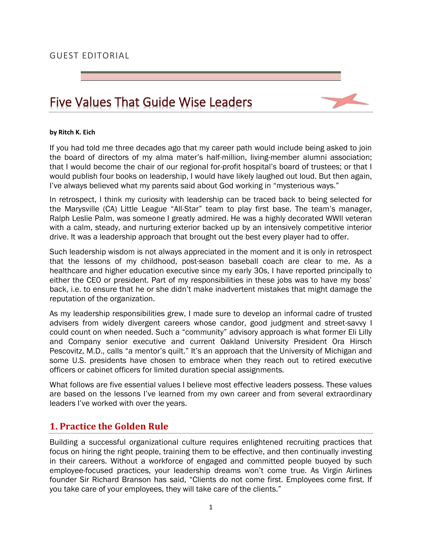#### GUEST EDITORIAL

# Five Values That Guide Wise Leaders



#### **by Ritch K. Eich**

If you had told me three decades ago that my career path would include being asked to join the board of directors of my alma mater's half-million, living-member alumni association; that I would become the chair of our regional for-profit hospital's board of trustees; or that I would publish four books on leadership, I would have likely laughed out loud. But then again, I've always believed what my parents said about God working in "mysterious ways."

In retrospect, I think my curiosity with leadership can be traced back to being selected for the Marysville (CA) Little League "All-Star" team to play first base. The team's manager, Ralph Leslie Palm, was someone I greatly admired. He was a highly decorated WWIl veteran with a calm, steady, and nurturing exterior backed up by an intensively competitive interior drive. It was a leadership approach that brought out the best every player had to offer.

Such leadership wisdom is not always appreciated in the moment and it is only in retrospect that the lessons of my childhood, post-season baseball coach are clear to me. As a healthcare and higher education executive since my early 30s, I have reported principally to either the CEO or president. Part of my responsibilities in these jobs was to have my boss' back, i.e. to ensure that he or she didn't make inadvertent mistakes that might damage the reputation of the organization.

As my leadership responsibilities grew, I made sure to develop an informal cadre of trusted advisers from widely divergent careers whose candor, good judgment and street-savvy I could count on when needed. Such a "community" advisory approach is what former Eli Lilly and Company senior executive and current Oakland University President Ora Hirsch Pescovitz, M.D., calls "a mentor's quilt." It's an approach that the University of Michigan and some U.S. presidents have chosen to embrace when they reach out to retired executive officers or cabinet officers for limited duration special assignments.

What follows are five essential values I believe most effective leaders possess. These values are based on the lessons I've learned from my own career and from several extraordinary leaders I've worked with over the years.

### **1. Practice the Golden Rule**

Building a successful organizational culture requires enlightened recruiting practices that focus on hiring the right people, training them to be effective, and then continually investing in their careers. Without a workforce of engaged and committed people buoyed by such employee-focused practices, your leadership dreams won't come true. As Virgin Airlines founder Sir Richard Branson has said, "Clients do not come first. Employees come first. If you take care of your employees, they will take care of the clients."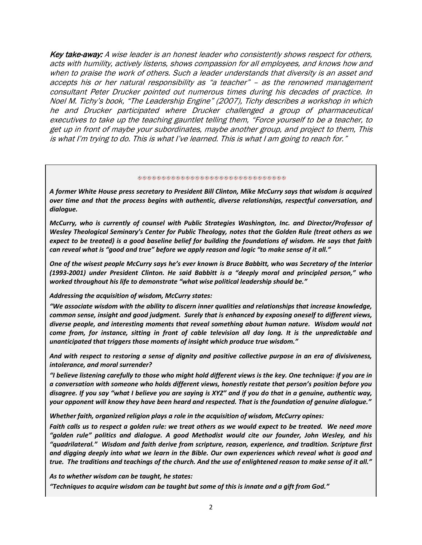Key take-away: A wise leader is an honest leader who consistently shows respect for others, acts with humility, actively listens, shows compassion for all employees, and knows how and when to praise the work of others. Such a leader understands that diversity is an asset and accepts his or her natural responsibility as "a teacher" – as the renowned management consultant Peter Drucker pointed out numerous times during his decades of practice. In Noel M. Tichy's book, "The Leadership Engine" (2007), Tichy describes a workshop in which he and Drucker participated where Drucker challenged a group of pharmaceutical executives to take up the teaching gauntlet telling them, "Force yourself to be a teacher, to get up in front of maybe your subordinates, maybe another group, and project to them, This is what I'm trying to do. This is what I've learned. This is what I am going to reach for."

#### \*\*\*\*\*\*\*\*\*\*\*\*\*\*\*\*\*\*\*\*\*\*\*\*\*\*\*\*\*\*\*\*

*A former White House press secretary to President Bill Clinton, Mike McCurry says that wisdom is acquired over time and that the process begins with authentic, diverse relationships, respectful conversation, and dialogue.*

*McCurry, who is currently of counsel with Public Strategies Washington, Inc. and Director/Professor of Wesley Theological Seminary's Center for Public Theology, notes that the Golden Rule (treat others as we expect to be treated) is a good baseline belief for building the foundations of wisdom. He says that faith can reveal what is "good and true" before we apply reason and logic "to make sense of it all."*

*One of the wisest people McCurry says he's ever known is Bruce Babbitt, who was Secretary of the Interior (1993-2001) under President Clinton. He said Babbitt is a "deeply moral and principled person," who worked throughout his life to demonstrate "what wise political leadership should be."*

#### *Addressing the acquisition of wisdom, McCurry states:*

*"We associate wisdom with the ability to discern inner qualities and relationships that increase knowledge, common sense, insight and good judgment. Surely that is enhanced by exposing oneself to different views, diverse people, and interesting moments that reveal something about human nature. Wisdom would not come from, for instance, sitting in front of cable television all day long. It is the unpredictable and unanticipated that triggers those moments of insight which produce true wisdom."*

*And with respect to restoring a sense of dignity and positive collective purpose in an era of divisiveness, intolerance, and moral surrender?*

*"I believe listening carefully to those who might hold different views is the key. One technique: if you are in a conversation with someone who holds different views, honestly restate that person's position before you disagree. If you say "what I believe you are saying is XYZ" and if you do that in a genuine, authentic way, your opponent will know they have been heard and respected. That is the foundation of genuine dialogue."*

*Whether faith, organized religion plays a role in the acquisition of wisdom, McCurry opines:*

*Faith calls us to respect a golden rule: we treat others as we would expect to be treated. We need more "golden rule" politics and dialogue. A good Methodist would cite our founder, John Wesley, and his "quadrilateral." Wisdom and faith derive from scripture, reason, experience, and tradition. Scripture first and digging deeply into what we learn in the Bible. Our own experiences which reveal what is good and true. The traditions and teachings of the church. And the use of enlightened reason to make sense of it all."*

*As to whether wisdom can be taught, he states:*

*"Techniques to acquire wisdom can be taught but some of this is innate and a gift from God."*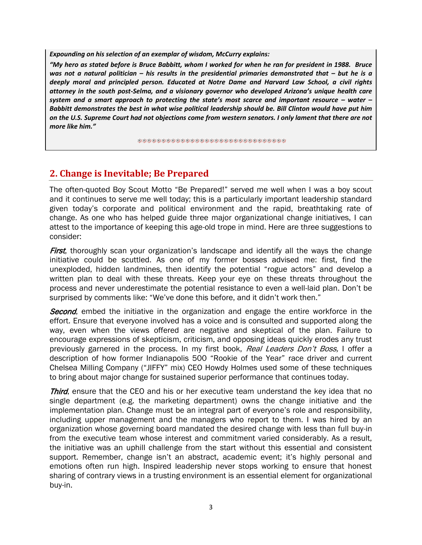*Expounding on his selection of an exemplar of wisdom, McCurry explains:*

*"My hero as stated before is Bruce Babbitt, whom I worked for when he ran for president in 1988. Bruce was not a natural politician – his results in the presidential primaries demonstrated that – but he is a deeply moral and principled person. Educated at Notre Dame and Harvard Law School, a civil rights attorney in the south post-Selma, and a visionary governor who developed Arizona's unique health care system and a smart approach to protecting the state's most scarce and important resource – water – Babbitt demonstrates the best in what wise political leadership should be. Bill Clinton would have put him on the U.S. Supreme Court had not objections come from western senators. I only lament that there are not more like him."* 

涂格涂涂涂涂涂涂涂涂涂涂涂涂涂涂涂涂涂涂涂涂涂涂涂涂涂涂涂

### **2. Change is Inevitable; Be Prepared**

The often-quoted Boy Scout Motto "Be Prepared!" served me well when I was a boy scout and it continues to serve me well today; this is a particularly important leadership standard given today's corporate and political environment and the rapid, breathtaking rate of change. As one who has helped guide three major organizational change initiatives, I can attest to the importance of keeping this age-old trope in mind. Here are three suggestions to consider:

**First**, thoroughly scan your organization's landscape and identify all the ways the change initiative could be scuttled. As one of my former bosses advised me: first, find the unexploded, hidden landmines, then identify the potential "rogue actors" and develop a written plan to deal with these threats. Keep your eye on these threats throughout the process and never underestimate the potential resistance to even a well-laid plan. Don't be surprised by comments like: "We've done this before, and it didn't work then."

**Second**, embed the initiative in the organization and engage the entire workforce in the effort. Ensure that everyone involved has a voice and is consulted and supported along the way, even when the views offered are negative and skeptical of the plan. Failure to encourage expressions of skepticism, criticism, and opposing ideas quickly erodes any trust previously garnered in the process. In my first book, Real Leaders Don't Boss, I offer a description of how former Indianapolis 500 "Rookie of the Year" race driver and current Chelsea Milling Company ("JIFFY" mix) CEO Howdy Holmes used some of these techniques to bring about major change for sustained superior performance that continues today.

**Third**, ensure that the CEO and his or her executive team understand the key idea that no single department (e.g. the marketing department) owns the change initiative and the implementation plan. Change must be an integral part of everyone's role and responsibility, including upper management and the managers who report to them. I was hired by an organization whose governing board mandated the desired change with less than full buy-in from the executive team whose interest and commitment varied considerably. As a result, the initiative was an uphill challenge from the start without this essential and consistent support. Remember, change isn't an abstract, academic event; it's highly personal and emotions often run high. Inspired leadership never stops working to ensure that honest sharing of contrary views in a trusting environment is an essential element for organizational buy-in.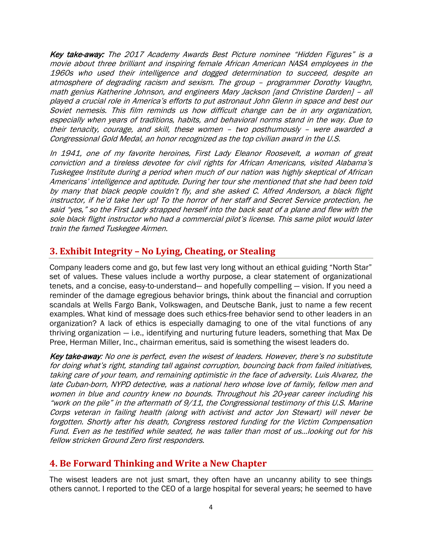Key take-away: The 2017 Academy Awards Best Picture nominee "Hidden Figures" is a movie about three brilliant and inspiring female African American NASA employees in the 1960s who used their intelligence and dogged determination to succeed, despite an atmosphere of degrading racism and sexism. The group – programmer Dorothy Vaughn, math genius Katherine Johnson, and engineers Mary Jackson [and Christine Darden] – all played a crucial role in America's efforts to put astronaut John Glenn in space and best our Soviet nemesis. This film reminds us how difficult change can be in any organization, especially when years of traditions, habits, and behavioral norms stand in the way. Due to their tenacity, courage, and skill, these women – two posthumously – were awarded a Congressional Gold Medal, an honor recognized as the top civilian award in the U.S.

In 1941, one of my favorite heroines, First Lady Eleanor Roosevelt, a woman of great conviction and a tireless devotee for civil rights for African Americans, visited Alabama's Tuskegee Institute during a period when much of our nation was highly skeptical of African Americans' intelligence and aptitude. During her tour she mentioned that she had been told by many that black people couldn't fly, and she asked C. Alfred Anderson, a black flight instructor, if he'd take her up! To the horror of her staff and Secret Service protection, he said "yes," so the First Lady strapped herself into the back seat of a plane and flew with the sole black flight instructor who had a commercial pilot's license. This same pilot would later train the famed Tuskegee Airmen.

### **3. Exhibit Integrity – No Lying, Cheating, or Stealing**

Company leaders come and go, but few last very long without an ethical guiding "North Star" set of values. These values include a worthy purpose, a clear statement of organizational tenets, and a concise, easy-to-understand— and hopefully compelling — vision. If you need a reminder of the damage egregious behavior brings, think about the financial and corruption scandals at Wells Fargo Bank, Volkswagen, and Deutsche Bank, just to name a few recent examples. What kind of message does such ethics-free behavior send to other leaders in an organization? A lack of ethics is especially damaging to one of the vital functions of any thriving organization — i.e., identifying and nurturing future leaders, something that Max De Pree, Herman Miller, Inc., chairman emeritus, said is something the wisest leaders do.

Key take-away: No one is perfect, even the wisest of leaders. However, there's no substitute for doing what's right, standing tall against corruption, bouncing back from failed initiatives, taking care of your team, and remaining optimistic in the face of adversity. Luis Alvarez, the late Cuban-born, NYPD detective, was a national hero whose love of family, fellow men and women in blue and country knew no bounds. Throughout his 20-year career including his "work on the pile" in the aftermath of 9/11, the Congressional testimony of this U.S. Marine Corps veteran in failing health (along with activist and actor Jon Stewart) will never be forgotten. Shortly after his death, Congress restored funding for the Victim Compensation Fund. Even as he testified while seated, he was taller than most of us…looking out for his fellow stricken Ground Zero first responders.

### **4. Be Forward Thinking and Write a New Chapter**

The wisest leaders are not just smart, they often have an uncanny ability to see things others cannot. I reported to the CEO of a large hospital for several years; he seemed to have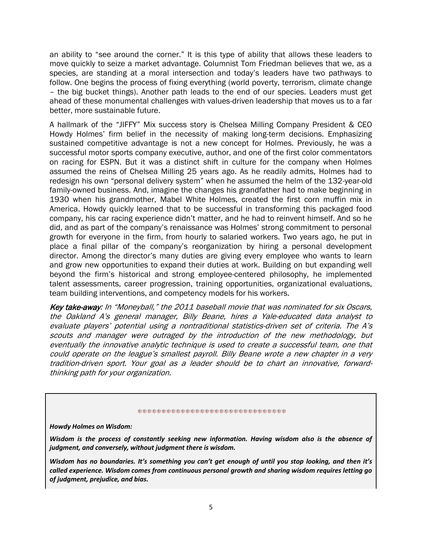an ability to "see around the corner." It is this type of ability that allows these leaders to move quickly to seize a market advantage. Columnist Tom Friedman believes that we, as a species, are standing at a moral intersection and today's leaders have two pathways to follow. One begins the process of fixing everything (world poverty, terrorism, climate change – the big bucket things). Another path leads to the end of our species. Leaders must get ahead of these monumental challenges with values-driven leadership that moves us to a far better, more sustainable future.

A hallmark of the "JIFFY" Mix success story is Chelsea Milling Company President & CEO Howdy Holmes' firm belief in the necessity of making long-term decisions. Emphasizing sustained competitive advantage is not a new concept for Holmes. Previously, he was a successful motor sports company executive, author, and one of the first color commentators on racing for ESPN. But it was a distinct shift in culture for the company when Holmes assumed the reins of Chelsea Milling 25 years ago. As he readily admits, Holmes had to redesign his own "personal delivery system" when he assumed the helm of the 132-year-old family-owned business. And, imagine the changes his grandfather had to make beginning in 1930 when his grandmother, Mabel White Holmes, created the first corn muffin mix in America. Howdy quickly learned that to be successful in transforming this packaged food company, his car racing experience didn't matter, and he had to reinvent himself. And so he did, and as part of the company's renaissance was Holmes' strong commitment to personal growth for everyone in the firm, from hourly to salaried workers. Two years ago, he put in place a final pillar of the company's reorganization by hiring a personal development director. Among the director's many duties are giving every employee who wants to learn and grow new opportunities to expand their duties at work. Building on but expanding well beyond the firm's historical and strong employee-centered philosophy, he implemented talent assessments, career progression, training opportunities, organizational evaluations, team building interventions, and competency models for his workers.

Key take-away: In "Moneyball," the 2011 baseball movie that was nominated for six Oscars, the Oakland A's general manager, Billy Beane, hires a Yale-educated data analyst to evaluate players' potential using a nontraditional statistics-driven set of criteria. The A's scouts and manager were outraged by the introduction of the new methodology, but eventually the innovative analytic technique is used to create a successful team, one that could operate on the league's smallest payroll. Billy Beane wrote a new chapter in a very tradition-driven sport. Your goal as a leader should be to chart an innovative, forwardthinking path for your organization.

#### 米格格格格格格格格格格格格格格格格格格格格格格格格格格格格

*Howdy Holmes on Wisdom:*

*Wisdom is the process of constantly seeking new information. Having wisdom also is the absence of judgment, and conversely, without judgment there is wisdom.* 

*Wisdom has no boundaries. It's something you can't get enough of until you stop looking, and then it's called experience. Wisdom comes from continuous personal growth and sharing wisdom requires letting go of judgment, prejudice, and bias.*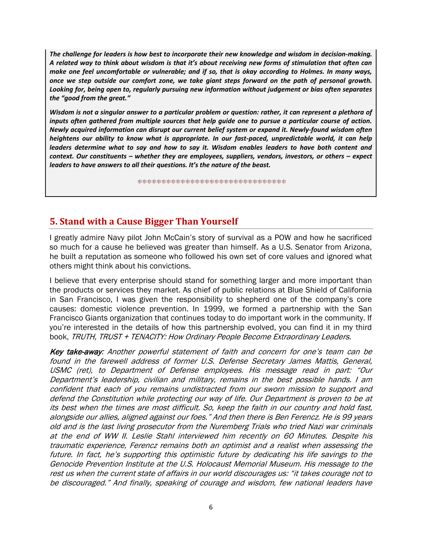*The challenge for leaders is how best to incorporate their new knowledge and wisdom in decision-making. A related way to think about wisdom is that it's about receiving new forms of stimulation that often can make one feel uncomfortable or vulnerable; and if so, that is okay according to Holmes. In many ways, once we step outside our comfort zone, we take giant steps forward on the path of personal growth. Looking for, being open to, regularly pursuing new information without judgement or bias often separates the "good from the great."*

*Wisdom is not a singular answer to a particular problem or question: rather, it can represent a plethora of inputs often gathered from multiple sources that help guide one to pursue a particular course of action. Newly acquired information can disrupt our current belief system or expand it. Newly-found wisdom often heightens our ability to know what is appropriate. In our fast-paced, unpredictable world, it can help leaders determine what to say and how to say it. Wisdom enables leaders to have both content and context. Our constituents – whether they are employees, suppliers, vendors, investors, or others – expect leaders to have answers to all their questions. It's the nature of the beast.*

\*\*\*\*\*\*\*\*\*\*\*\*\*\*\*\*\*\*\*\*\*\*\*\*\*\*\*\*\*\*\*

### **5. Stand with a Cause Bigger Than Yourself**

I greatly admire Navy pilot John McCain's story of survival as a POW and how he sacrificed so much for a cause he believed was greater than himself. As a U.S. Senator from Arizona, he built a reputation as someone who followed his own set of core values and ignored what others might think about his convictions.

I believe that every enterprise should stand for something larger and more important than the products or services they market. As chief of public relations at Blue Shield of California in San Francisco, I was given the responsibility to shepherd one of the company's core causes: domestic violence prevention. In 1999, we formed a partnership with the San Francisco Giants organization that continues today to do important work in the community. If you're interested in the details of how this partnership evolved, you can find it in my third book, TRUTH, TRUST + TENACITY: How Ordinary People Become Extraordinary Leaders.

Key take-away: Another powerful statement of faith and concern for one's team can be found in the farewell address of former U.S. Defense Secretary James Mattis, General, USMC (ret), to Department of Defense employees. His message read in part: "Our Department's leadership, civilian and military, remains in the best possible hands. I am confident that each of you remains undistracted from our sworn mission to support and defend the Constitution while protecting our way of life. Our Department is proven to be at its best when the times are most difficult. So, keep the faith in our country and hold fast, alongside our allies, aligned against our foes." And then there is Ben Ferencz. He is 99 years old and is the last living prosecutor from the Nuremberg Trials who tried Nazi war criminals at the end of WW II. Leslie Stahl interviewed him recently on 60 Minutes. Despite his traumatic experience, Ferencz remains both an optimist and a realist when assessing the future. In fact, he's supporting this optimistic future by dedicating his life savings to the Genocide Prevention Institute at the U.S. Holocaust Memorial Museum. His message to the rest us when the current state of affairs in our world discourages us: "it takes courage not to be discouraged." And finally, speaking of courage and wisdom, few national leaders have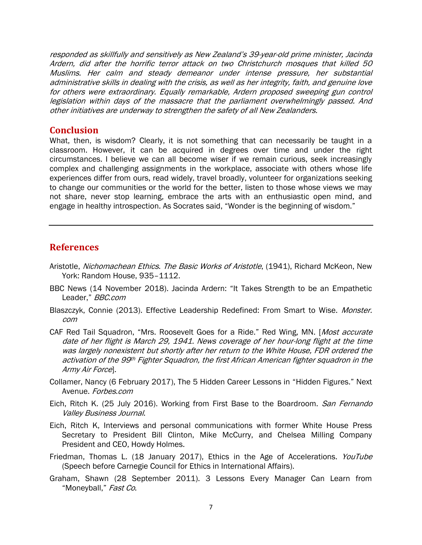responded as skillfully and sensitively as New Zealand's 39-year-old prime minister, Jacinda Ardern, did after the horrific terror attack on two Christchurch mosques that killed 50 Muslims. Her calm and steady demeanor under intense pressure, her substantial administrative skills in dealing with the crisis, as well as her integrity, faith, and genuine love for others were extraordinary. Equally remarkable, Ardern proposed sweeping gun control legislation within days of the massacre that the parliament overwhelmingly passed. And other initiatives are underway to strengthen the safety of all New Zealanders.

#### **Conclusion**

What, then, is wisdom? Clearly, it is not something that can necessarily be taught in a classroom. However, it can be acquired in degrees over time and under the right circumstances. I believe we can all become wiser if we remain curious, seek increasingly complex and challenging assignments in the workplace, associate with others whose life experiences differ from ours, read widely, travel broadly, volunteer for organizations seeking to change our communities or the world for the better, listen to those whose views we may not share, never stop learning, embrace the arts with an enthusiastic open mind, and engage in healthy introspection. As Socrates said, "Wonder is the beginning of wisdom."

#### **References**

- Aristotle, *Nichomachean Ethics. The Basic Works of Aristotle*, (1941), Richard McKeon, New York: Random House, 935–1112.
- BBC News (14 November 2018). Jacinda Ardern: "It Takes Strength to be an Empathetic Leader," BBC.com
- Blaszczyk, Connie (2013). Effective Leadership Redefined: From Smart to Wise. Monster. com
- CAF Red Tail Squadron, "Mrs. Roosevelt Goes for a Ride." Red Wing, MN. [Most accurate date of her flight is March 29, 1941. News coverage of her hour-long flight at the time was largely nonexistent but shortly after her return to the White House, FDR ordered the activation of the 99th Fighter Squadron, the first African American fighter squadron in the Army Air Force].
- Collamer, Nancy (6 February 2017), The 5 Hidden Career Lessons in "Hidden Figures." Next Avenue. Forbes.com
- Eich, Ritch K. (25 July 2016). Working from First Base to the Boardroom. San Fernando Valley Business Journal.
- Eich, Ritch K, Interviews and personal communications with former White House Press Secretary to President Bill Clinton, Mike McCurry, and Chelsea Milling Company President and CEO, Howdy Holmes.
- Friedman, Thomas L. (18 January 2017), Ethics in the Age of Accelerations. YouTube (Speech before Carnegie Council for Ethics in International Affairs).
- Graham, Shawn (28 September 2011). 3 Lessons Every Manager Can Learn from "Moneyball," Fast Co.